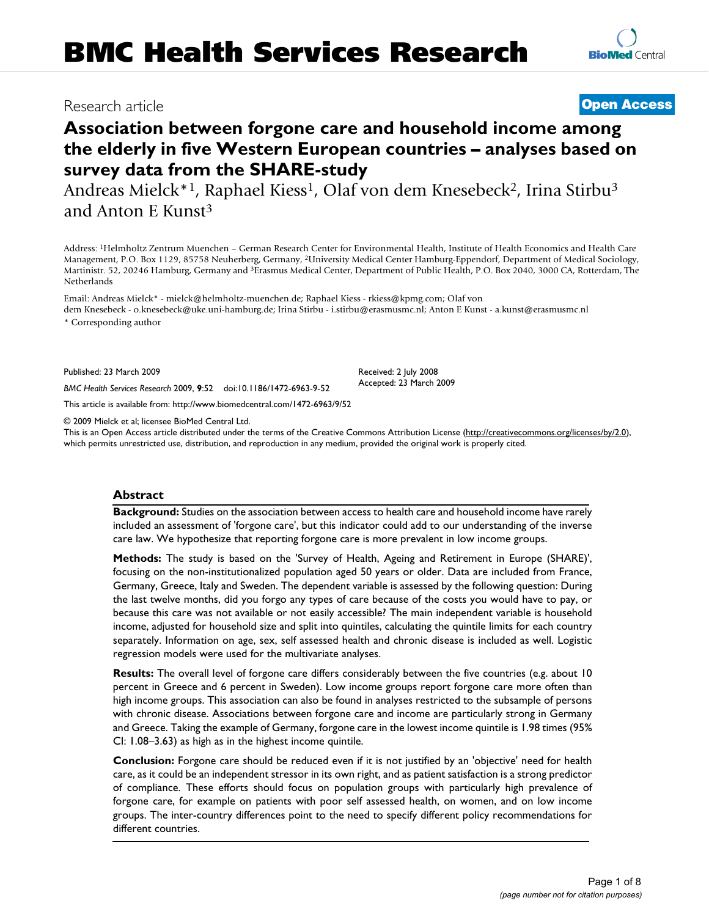## Research article **[Open Access](http://www.biomedcentral.com/info/about/charter/)**

# **Association between forgone care and household income among the elderly in five Western European countries – analyses based on survey data from the SHARE-study**

Andreas Mielck\*<sup>1</sup>, Raphael Kiess<sup>1</sup>, Olaf von dem Knesebeck<sup>2</sup>, Irina Stirbu<sup>3</sup> and Anton E Kunst3

Address: 1Helmholtz Zentrum Muenchen – German Research Center for Environmental Health, Institute of Health Economics and Health Care Management, P.O. Box 1129, 85758 Neuherberg, Germany, 2University Medical Center Hamburg-Eppendorf, Department of Medical Sociology, Martinistr. 52, 20246 Hamburg, Germany and 3Erasmus Medical Center, Department of Public Health, P.O. Box 2040, 3000 CA, Rotterdam, The Netherlands

Email: Andreas Mielck\* - mielck@helmholtz-muenchen.de; Raphael Kiess - rkiess@kpmg.com; Olaf von dem Knesebeck - o.knesebeck@uke.uni-hamburg.de; Irina Stirbu - i.stirbu@erasmusmc.nl; Anton E Kunst - a.kunst@erasmusmc.nl

\* Corresponding author

Published: 23 March 2009

*BMC Health Services Research* 2009, **9**:52 doi:10.1186/1472-6963-9-52

[This article is available from: http://www.biomedcentral.com/1472-6963/9/52](http://www.biomedcentral.com/1472-6963/9/52)

© 2009 Mielck et al; licensee BioMed Central Ltd.

This is an Open Access article distributed under the terms of the Creative Commons Attribution License [\(http://creativecommons.org/licenses/by/2.0\)](http://creativecommons.org/licenses/by/2.0), which permits unrestricted use, distribution, and reproduction in any medium, provided the original work is properly cited.

Received: 2 July 2008 Accepted: 23 March 2009

### **Abstract**

**Background:** Studies on the association between access to health care and household income have rarely included an assessment of 'forgone care', but this indicator could add to our understanding of the inverse care law. We hypothesize that reporting forgone care is more prevalent in low income groups.

**Methods:** The study is based on the 'Survey of Health, Ageing and Retirement in Europe (SHARE)', focusing on the non-institutionalized population aged 50 years or older. Data are included from France, Germany, Greece, Italy and Sweden. The dependent variable is assessed by the following question: During the last twelve months, did you forgo any types of care because of the costs you would have to pay, or because this care was not available or not easily accessible? The main independent variable is household income, adjusted for household size and split into quintiles, calculating the quintile limits for each country separately. Information on age, sex, self assessed health and chronic disease is included as well. Logistic regression models were used for the multivariate analyses.

**Results:** The overall level of forgone care differs considerably between the five countries (e.g. about 10 percent in Greece and 6 percent in Sweden). Low income groups report forgone care more often than high income groups. This association can also be found in analyses restricted to the subsample of persons with chronic disease. Associations between forgone care and income are particularly strong in Germany and Greece. Taking the example of Germany, forgone care in the lowest income quintile is 1.98 times (95% CI: 1.08–3.63) as high as in the highest income quintile.

**Conclusion:** Forgone care should be reduced even if it is not justified by an 'objective' need for health care, as it could be an independent stressor in its own right, and as patient satisfaction is a strong predictor of compliance. These efforts should focus on population groups with particularly high prevalence of forgone care, for example on patients with poor self assessed health, on women, and on low income groups. The inter-country differences point to the need to specify different policy recommendations for different countries.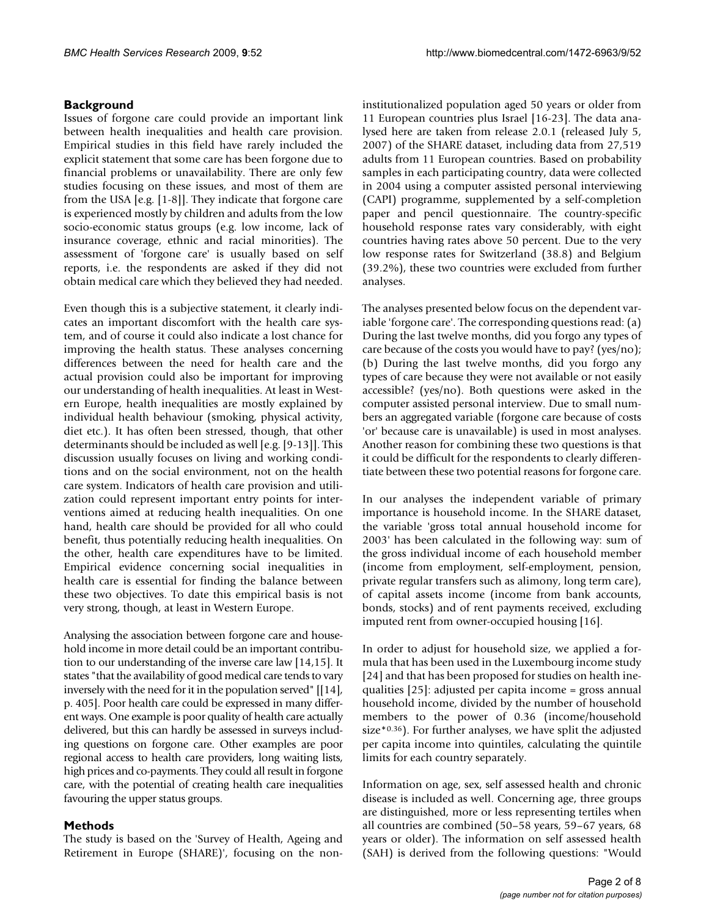#### **Background**

Issues of forgone care could provide an important link between health inequalities and health care provision. Empirical studies in this field have rarely included the explicit statement that some care has been forgone due to financial problems or unavailability. There are only few studies focusing on these issues, and most of them are from the USA [e.g. [1-8]]. They indicate that forgone care is experienced mostly by children and adults from the low socio-economic status groups (e.g. low income, lack of insurance coverage, ethnic and racial minorities). The assessment of 'forgone care' is usually based on self reports, i.e. the respondents are asked if they did not obtain medical care which they believed they had needed.

Even though this is a subjective statement, it clearly indicates an important discomfort with the health care system, and of course it could also indicate a lost chance for improving the health status. These analyses concerning differences between the need for health care and the actual provision could also be important for improving our understanding of health inequalities. At least in Western Europe, health inequalities are mostly explained by individual health behaviour (smoking, physical activity, diet etc.). It has often been stressed, though, that other determinants should be included as well [e.g. [9-13]]. This discussion usually focuses on living and working conditions and on the social environment, not on the health care system. Indicators of health care provision and utilization could represent important entry points for interventions aimed at reducing health inequalities. On one hand, health care should be provided for all who could benefit, thus potentially reducing health inequalities. On the other, health care expenditures have to be limited. Empirical evidence concerning social inequalities in health care is essential for finding the balance between these two objectives. To date this empirical basis is not very strong, though, at least in Western Europe.

Analysing the association between forgone care and household income in more detail could be an important contribution to our understanding of the inverse care law [14,15]. It states "that the availability of good medical care tends to vary inversely with the need for it in the population served" [[14], p. 405]. Poor health care could be expressed in many different ways. One example is poor quality of health care actually delivered, but this can hardly be assessed in surveys including questions on forgone care. Other examples are poor regional access to health care providers, long waiting lists, high prices and co-payments. They could all result in forgone care, with the potential of creating health care inequalities favouring the upper status groups.

#### **Methods**

The study is based on the 'Survey of Health, Ageing and Retirement in Europe (SHARE)', focusing on the noninstitutionalized population aged 50 years or older from 11 European countries plus Israel [16-23]. The data analysed here are taken from release 2.0.1 (released July 5, 2007) of the SHARE dataset, including data from 27,519 adults from 11 European countries. Based on probability samples in each participating country, data were collected in 2004 using a computer assisted personal interviewing (CAPI) programme, supplemented by a self-completion paper and pencil questionnaire. The country-specific household response rates vary considerably, with eight countries having rates above 50 percent. Due to the very low response rates for Switzerland (38.8) and Belgium (39.2%), these two countries were excluded from further analyses.

The analyses presented below focus on the dependent variable 'forgone care'. The corresponding questions read: (a) During the last twelve months, did you forgo any types of care because of the costs you would have to pay? (yes/no); (b) During the last twelve months, did you forgo any types of care because they were not available or not easily accessible? (yes/no). Both questions were asked in the computer assisted personal interview. Due to small numbers an aggregated variable (forgone care because of costs 'or' because care is unavailable) is used in most analyses. Another reason for combining these two questions is that it could be difficult for the respondents to clearly differentiate between these two potential reasons for forgone care.

In our analyses the independent variable of primary importance is household income. In the SHARE dataset, the variable 'gross total annual household income for 2003' has been calculated in the following way: sum of the gross individual income of each household member (income from employment, self-employment, pension, private regular transfers such as alimony, long term care), of capital assets income (income from bank accounts, bonds, stocks) and of rent payments received, excluding imputed rent from owner-occupied housing [16].

In order to adjust for household size, we applied a formula that has been used in the Luxembourg income study [24] and that has been proposed for studies on health inequalities [25]: adjusted per capita income = gross annual household income, divided by the number of household members to the power of 0.36 (income/household size $*0.36$ ). For further analyses, we have split the adjusted per capita income into quintiles, calculating the quintile limits for each country separately.

Information on age, sex, self assessed health and chronic disease is included as well. Concerning age, three groups are distinguished, more or less representing tertiles when all countries are combined (50–58 years, 59–67 years, 68 years or older). The information on self assessed health (SAH) is derived from the following questions: "Would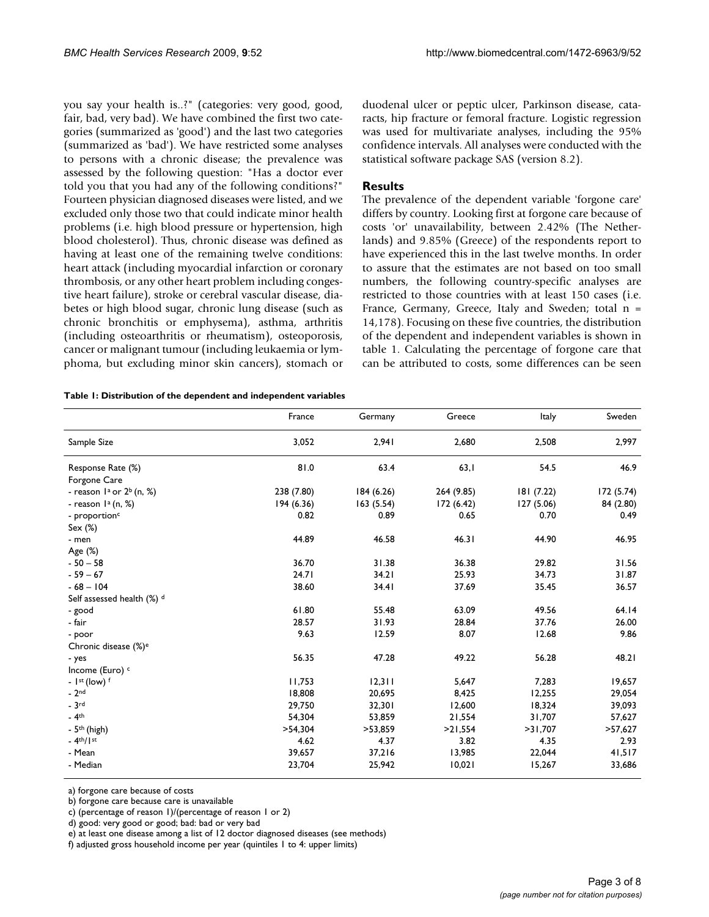you say your health is..?" (categories: very good, good, fair, bad, very bad). We have combined the first two categories (summarized as 'good') and the last two categories (summarized as 'bad'). We have restricted some analyses to persons with a chronic disease; the prevalence was assessed by the following question: "Has a doctor ever told you that you had any of the following conditions?" Fourteen physician diagnosed diseases were listed, and we excluded only those two that could indicate minor health problems (i.e. high blood pressure or hypertension, high blood cholesterol). Thus, chronic disease was defined as having at least one of the remaining twelve conditions: heart attack (including myocardial infarction or coronary thrombosis, or any other heart problem including congestive heart failure), stroke or cerebral vascular disease, diabetes or high blood sugar, chronic lung disease (such as chronic bronchitis or emphysema), asthma, arthritis (including osteoarthritis or rheumatism), osteoporosis, cancer or malignant tumour (including leukaemia or lymphoma, but excluding minor skin cancers), stomach or duodenal ulcer or peptic ulcer, Parkinson disease, cataracts, hip fracture or femoral fracture. Logistic regression was used for multivariate analyses, including the 95% confidence intervals. All analyses were conducted with the statistical software package SAS (version 8.2).

#### **Results**

The prevalence of the dependent variable 'forgone care' differs by country. Looking first at forgone care because of costs 'or' unavailability, between 2.42% (The Netherlands) and 9.85% (Greece) of the respondents report to have experienced this in the last twelve months. In order to assure that the estimates are not based on too small numbers, the following country-specific analyses are restricted to those countries with at least 150 cases (i.e. France, Germany, Greece, Italy and Sweden; total n = 14,178). Focusing on these five countries, the distribution of the dependent and independent variables is shown in table 1. Calculating the percentage of forgone care that can be attributed to costs, some differences can be seen

**Table 1: Distribution of the dependent and independent variables**

|                                  | France     | Germany    | Greece     | Italy      | Sweden    |
|----------------------------------|------------|------------|------------|------------|-----------|
| Sample Size                      | 3,052      | 2,941      | 2,680      | 2,508      | 2,997     |
| Response Rate (%)                | 0.18       | 63.4       | 63,1       | 54.5       | 46.9      |
| Forgone Care                     |            |            |            |            |           |
| - reason $1^a$ or $2^b$ (n, %)   | 238 (7.80) | 184 (6.26) | 264 (9.85) | 181(7.22)  | 172(5.74) |
| - reason $1^a$ (n, %)            | 194(6.36)  | 163(5.54)  | 172(6.42)  | 127 (5.06) | 84 (2.80) |
| - proportion <sup>c</sup>        | 0.82       | 0.89       | 0.65       | 0.70       | 0.49      |
| Sex (%)                          |            |            |            |            |           |
| - men                            | 44.89      | 46.58      | 46.31      | 44.90      | 46.95     |
| Age (%)                          |            |            |            |            |           |
| $-50 - 58$                       | 36.70      | 31.38      | 36.38      | 29.82      | 31.56     |
| $-59-67$                         | 24.71      | 34.21      | 25.93      | 34.73      | 31.87     |
| $-68 - 104$                      | 38.60      | 34.41      | 37.69      | 35.45      | 36.57     |
| Self assessed health (%) d       |            |            |            |            |           |
| - good                           | 61.80      | 55.48      | 63.09      | 49.56      | 64.14     |
| - fair                           | 28.57      | 31.93      | 28.84      | 37.76      | 26.00     |
| - poor                           | 9.63       | 12.59      | 8.07       | 12.68      | 9.86      |
| Chronic disease (%) <sup>e</sup> |            |            |            |            |           |
| - yes                            | 56.35      | 47.28      | 49.22      | 56.28      | 48.21     |
| Income (Euro) c                  |            |            |            |            |           |
| - $Ist$ (low) f                  | 11,753     | 12,311     | 5,647      | 7,283      | 19,657    |
| $-2nd$                           | 18,808     | 20,695     | 8,425      | 12,255     | 29,054    |
| $-3rd$                           | 29,750     | 32,301     | 12,600     | 18,324     | 39,093    |
| $-4th$                           | 54,304     | 53,859     | 21,554     | 31,707     | 57,627    |
| - $5th$ (high)                   | >54,304    | >53,859    | >21,554    | >31,707    | >57,627   |
| $-4th/$ st                       | 4.62       | 4.37       | 3.82       | 4.35       | 2.93      |
| - Mean                           | 39,657     | 37,216     | 13,985     | 22,044     | 41,517    |
| - Median                         | 23,704     | 25,942     | 10,021     | 15,267     | 33,686    |

a) forgone care because of costs

b) forgone care because care is unavailable

c) (percentage of reason 1)/(percentage of reason 1 or 2)

d) good: very good or good; bad: bad or very bad

e) at least one disease among a list of 12 doctor diagnosed diseases (see methods)

f) adjusted gross household income per year (quintiles 1 to 4: upper limits)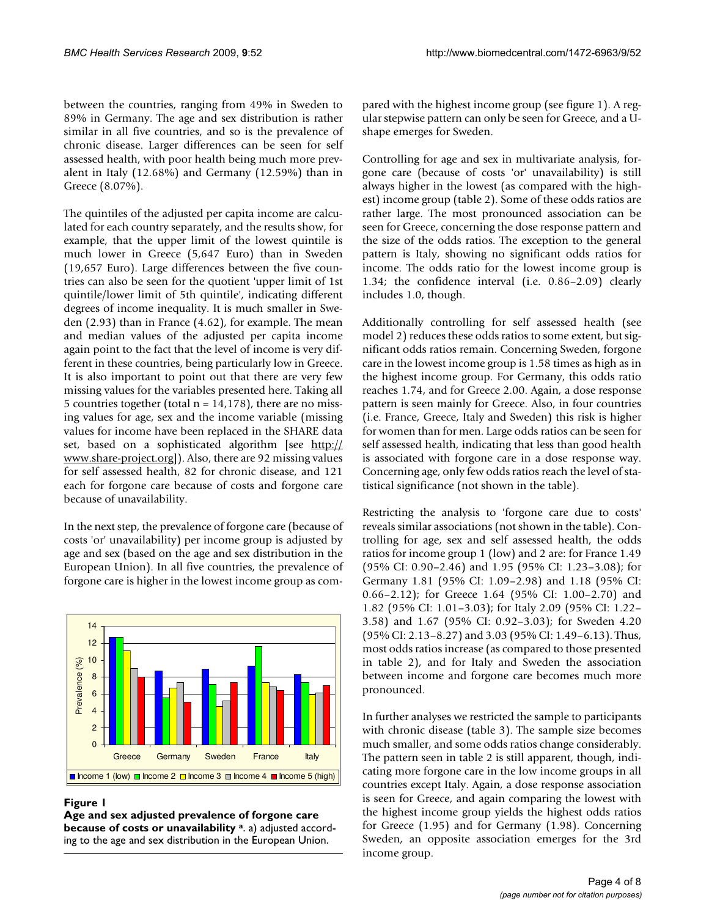between the countries, ranging from 49% in Sweden to 89% in Germany. The age and sex distribution is rather similar in all five countries, and so is the prevalence of chronic disease. Larger differences can be seen for self assessed health, with poor health being much more prevalent in Italy (12.68%) and Germany (12.59%) than in Greece (8.07%).

The quintiles of the adjusted per capita income are calculated for each country separately, and the results show, for example, that the upper limit of the lowest quintile is much lower in Greece (5,647 Euro) than in Sweden (19,657 Euro). Large differences between the five countries can also be seen for the quotient 'upper limit of 1st quintile/lower limit of 5th quintile', indicating different degrees of income inequality. It is much smaller in Sweden (2.93) than in France (4.62), for example. The mean and median values of the adjusted per capita income again point to the fact that the level of income is very different in these countries, being particularly low in Greece. It is also important to point out that there are very few missing values for the variables presented here. Taking all 5 countries together (total  $n = 14,178$ ), there are no missing values for age, sex and the income variable (missing values for income have been replaced in the SHARE data set, based on a sophisticated algorithm [see [http://](http://www.share-project.org) [www.share-project.org\]](http://www.share-project.org)). Also, there are 92 missing values for self assessed health, 82 for chronic disease, and 121 each for forgone care because of costs and forgone care because of unavailability.

In the next step, the prevalence of forgone care (because of costs 'or' unavailability) per income group is adjusted by age and sex (based on the age and sex distribution in the European Union). In all five countries, the prevalence of forgone care is higher in the lowest income group as com-



### Figure 1

**Age and sex adjusted prevalence of forgone care because of costs or unavailability a**. a) adjusted according to the age and sex distribution in the European Union.

pared with the highest income group (see figure 1). A regular stepwise pattern can only be seen for Greece, and a Ushape emerges for Sweden.

Controlling for age and sex in multivariate analysis, forgone care (because of costs 'or' unavailability) is still always higher in the lowest (as compared with the highest) income group (table 2). Some of these odds ratios are rather large. The most pronounced association can be seen for Greece, concerning the dose response pattern and the size of the odds ratios. The exception to the general pattern is Italy, showing no significant odds ratios for income. The odds ratio for the lowest income group is 1.34; the confidence interval (i.e. 0.86–2.09) clearly includes 1.0, though.

Additionally controlling for self assessed health (see model 2) reduces these odds ratios to some extent, but significant odds ratios remain. Concerning Sweden, forgone care in the lowest income group is 1.58 times as high as in the highest income group. For Germany, this odds ratio reaches 1.74, and for Greece 2.00. Again, a dose response pattern is seen mainly for Greece. Also, in four countries (i.e. France, Greece, Italy and Sweden) this risk is higher for women than for men. Large odds ratios can be seen for self assessed health, indicating that less than good health is associated with forgone care in a dose response way. Concerning age, only few odds ratios reach the level of statistical significance (not shown in the table).

Restricting the analysis to 'forgone care due to costs' reveals similar associations (not shown in the table). Controlling for age, sex and self assessed health, the odds ratios for income group 1 (low) and 2 are: for France 1.49 (95% CI: 0.90–2.46) and 1.95 (95% CI: 1.23–3.08); for Germany 1.81 (95% CI: 1.09–2.98) and 1.18 (95% CI: 0.66–2.12); for Greece 1.64 (95% CI: 1.00–2.70) and 1.82 (95% CI: 1.01–3.03); for Italy 2.09 (95% CI: 1.22– 3.58) and 1.67 (95% CI: 0.92–3.03); for Sweden 4.20 (95% CI: 2.13–8.27) and 3.03 (95% CI: 1.49–6.13). Thus, most odds ratios increase (as compared to those presented in table 2), and for Italy and Sweden the association between income and forgone care becomes much more pronounced.

In further analyses we restricted the sample to participants with chronic disease (table 3). The sample size becomes much smaller, and some odds ratios change considerably. The pattern seen in table 2 is still apparent, though, indicating more forgone care in the low income groups in all countries except Italy. Again, a dose response association is seen for Greece, and again comparing the lowest with the highest income group yields the highest odds ratios for Greece (1.95) and for Germany (1.98). Concerning Sweden, an opposite association emerges for the 3rd income group.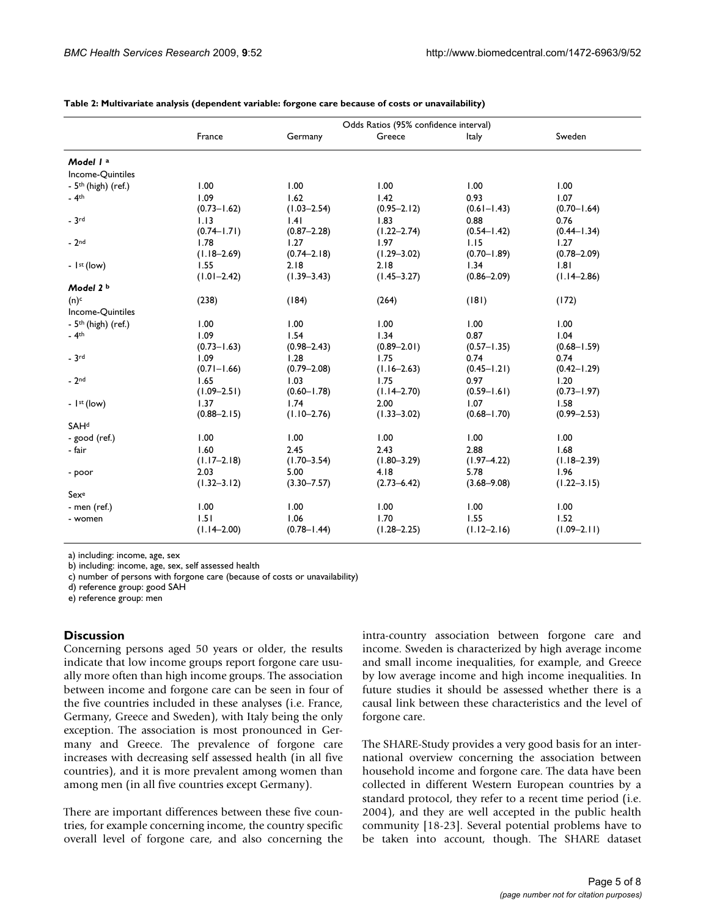|                                  | Odds Ratios (95% confidence interval) |                 |                 |                 |                 |  |  |
|----------------------------------|---------------------------------------|-----------------|-----------------|-----------------|-----------------|--|--|
|                                  | France                                | Germany         | Greece          | <b>Italy</b>    | Sweden          |  |  |
| Model I <sup>a</sup>             |                                       |                 |                 |                 |                 |  |  |
| Income-Quintiles                 |                                       |                 |                 |                 |                 |  |  |
| - $5th$ (high) (ref.)            | 1.00                                  | 1.00            | 1.00            | 1.00            | 1.00            |  |  |
| $-4$ th                          | 1.09                                  | 1.62            | 1.42            | 0.93            | 1.07            |  |  |
|                                  | $(0.73 - 1.62)$                       | $(1.03 - 2.54)$ | $(0.95 - 2.12)$ | $(0.61 - 1.43)$ | $(0.70 - 1.64)$ |  |  |
| $-3rd$                           | 1.13                                  | .4              | 1.83            | 0.88            | 0.76            |  |  |
|                                  | $(0.74 - 1.71)$                       | $(0.87 - 2.28)$ | $(1.22 - 2.74)$ | $(0.54 - 1.42)$ | $(0.44 - 1.34)$ |  |  |
| $-2nd$                           | 1.78                                  | 1.27            | 1.97            | 1.15            | 1.27            |  |  |
|                                  | $(1.18 - 2.69)$                       | $(0.74 - 2.18)$ | $(1.29 - 3.02)$ | $(0.70 - 1.89)$ | $(0.78 - 2.09)$ |  |  |
| - $Ist$ (low)                    | 1.55                                  | 2.18            | 2.18            | 1.34            | 1.81            |  |  |
|                                  | $(1.01 - 2.42)$                       | $(1.39 - 3.43)$ | $(1.45 - 3.27)$ | $(0.86 - 2.09)$ | $(1.14 - 2.86)$ |  |  |
| Model 2 b                        |                                       |                 |                 |                 |                 |  |  |
| (n)c                             | (238)                                 | (184)           | (264)           | (181)           | (172)           |  |  |
| Income-Quintiles                 |                                       |                 |                 |                 |                 |  |  |
| $-5$ <sup>th</sup> (high) (ref.) | 1.00                                  | 1.00            | 1.00            | 1.00            | 1.00            |  |  |
| $-4$ th                          | 1.09                                  | 1.54            | 1.34            | 0.87            | 1.04            |  |  |
|                                  | $(0.73 - 1.63)$                       | $(0.98 - 2.43)$ | $(0.89 - 2.01)$ | $(0.57 - 1.35)$ | $(0.68 - 1.59)$ |  |  |
| $-3rd$                           | 1.09                                  | 1.28            | 1.75            | 0.74            | 0.74            |  |  |
|                                  | $(0.71 - 1.66)$                       | $(0.79 - 2.08)$ | $(1.16 - 2.63)$ | $(0.45 - 1.21)$ | $(0.42 - 1.29)$ |  |  |
| $-2nd$                           | 1.65                                  | 1.03            | 1.75            | 0.97            | 1.20            |  |  |
|                                  | $(1.09 - 2.51)$                       | $(0.60 - 1.78)$ | $(1.14 - 2.70)$ | $(0.59 - 1.61)$ | $(0.73 - 1.97)$ |  |  |
| - $Ist$ (low)                    | 1.37                                  | 1.74            | 2.00            | 1.07            | 1.58            |  |  |
|                                  | $(0.88 - 2.15)$                       | $(1.10 - 2.76)$ | $(1.33 - 3.02)$ | $(0.68 - 1.70)$ | $(0.99 - 2.53)$ |  |  |
| SAH <sup>d</sup>                 |                                       |                 |                 |                 |                 |  |  |
| - good (ref.)                    | 1.00                                  | 1.00            | 1.00            | 1.00            | 1.00            |  |  |
| - fair                           | 1.60                                  | 2.45            | 2.43            | 2.88            | 1.68            |  |  |
|                                  | $(1.17 - 2.18)$                       | $(1.70 - 3.54)$ | $(1.80 - 3.29)$ | $(1.97 - 4.22)$ | $(1.18 - 2.39)$ |  |  |
| - poor                           | 2.03                                  | 5.00            | 4.18            | 5.78            | 1.96            |  |  |
|                                  | $(1.32 - 3.12)$                       | $(3.30 - 7.57)$ | $(2.73 - 6.42)$ | $(3.68 - 9.08)$ | $(1.22 - 3.15)$ |  |  |
| Sexe                             |                                       |                 |                 |                 |                 |  |  |
| - men (ref.)                     | 1.00                                  | 1.00            | 1.00            | 1.00            | 1.00            |  |  |
| - women                          | 1.51                                  | 1.06            | 1.70            | 1.55            | 1.52            |  |  |
|                                  | $(1.14 - 2.00)$                       | $(0.78 - 1.44)$ | $(1.28 - 2.25)$ | $(1.12 - 2.16)$ | $(1.09 - 2.11)$ |  |  |

**Table 2: Multivariate analysis (dependent variable: forgone care because of costs or unavailability)**

a) including: income, age, sex

b) including: income, age, sex, self assessed health

c) number of persons with forgone care (because of costs or unavailability)

d) reference group: good SAH

e) reference group: men

#### **Discussion**

Concerning persons aged 50 years or older, the results indicate that low income groups report forgone care usually more often than high income groups. The association between income and forgone care can be seen in four of the five countries included in these analyses (i.e. France, Germany, Greece and Sweden), with Italy being the only exception. The association is most pronounced in Germany and Greece. The prevalence of forgone care increases with decreasing self assessed health (in all five countries), and it is more prevalent among women than among men (in all five countries except Germany).

There are important differences between these five countries, for example concerning income, the country specific overall level of forgone care, and also concerning the intra-country association between forgone care and income. Sweden is characterized by high average income and small income inequalities, for example, and Greece by low average income and high income inequalities. In future studies it should be assessed whether there is a causal link between these characteristics and the level of forgone care.

The SHARE-Study provides a very good basis for an international overview concerning the association between household income and forgone care. The data have been collected in different Western European countries by a standard protocol, they refer to a recent time period (i.e. 2004), and they are well accepted in the public health community [18-23]. Several potential problems have to be taken into account, though. The SHARE dataset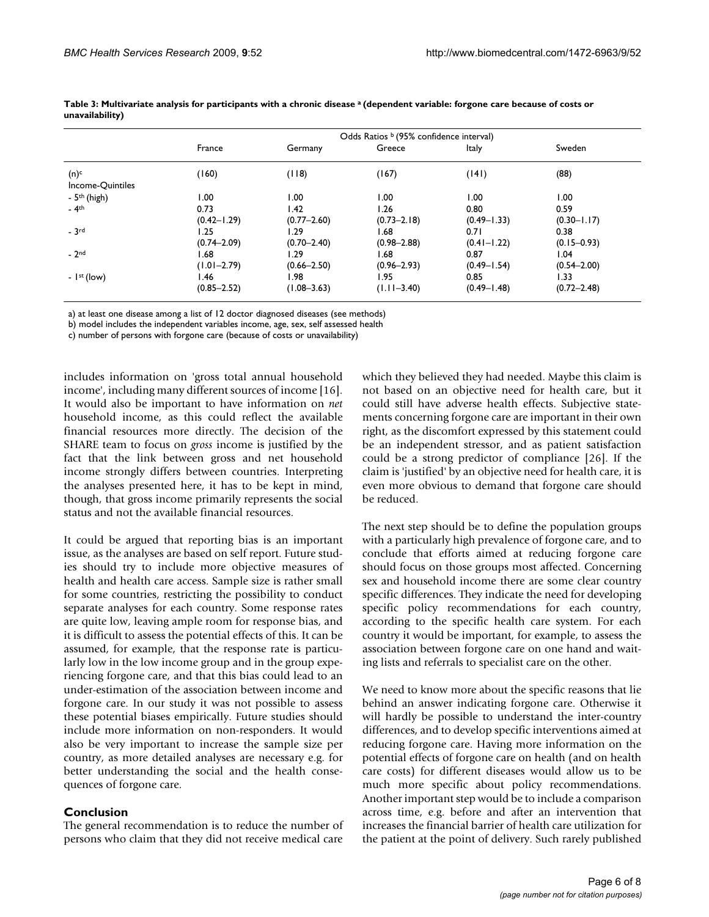|                             | Odds Ratios b (95% confidence interval) |                 |                 |                 |                 |  |  |
|-----------------------------|-----------------------------------------|-----------------|-----------------|-----------------|-----------------|--|--|
|                             | France                                  | Germany         | Greece          | <b>Italy</b>    | Sweden          |  |  |
| $(n)^c$<br>Income-Quintiles | (160)                                   | (118)           | (167)           | (141)           | (88)            |  |  |
| - 5 <sup>th</sup> (high)    | 1.00                                    | 1.00            | 1.00            | 1.00            | 1.00            |  |  |
| $-4$ <sup>th</sup>          | 0.73                                    | 1.42            | 1.26            | 0.80            | 0.59            |  |  |
|                             | $(0.42 - 1.29)$                         | $(0.77 - 2.60)$ | $(0.73 - 2.18)$ | $(0.49 - 1.33)$ | $(0.30 - 1.17)$ |  |  |
| $-3rd$                      | l.25                                    | 1.29            | 86. ا           | 0.71            | 0.38            |  |  |
|                             | $(0.74 - 2.09)$                         | $(0.70 - 2.40)$ | $(0.98 - 2.88)$ | $(0.41 - 1.22)$ | $(0.15 - 0.93)$ |  |  |
| $-2nd$                      | 1.68                                    | 1.29            | 86. ا           | 0.87            | 1.04            |  |  |
|                             | $(1.01 - 2.79)$                         | $(0.66 - 2.50)$ | $(0.96 - 2.93)$ | $(0.49 - 1.54)$ | $(0.54 - 2.00)$ |  |  |
| - $I^{st}$ (low)            | 46. ا                                   | I.98            | 1.95            | 0.85            | 1.33            |  |  |
|                             | $(0.85 - 2.52)$                         | $(1.08 - 3.63)$ | $(1.11 - 3.40)$ | $(0.49 - 1.48)$ | $(0.72 - 2.48)$ |  |  |

**Table 3: Multivariate analysis for participants with a chronic disease a (dependent variable: forgone care because of costs or unavailability)**

a) at least one disease among a list of 12 doctor diagnosed diseases (see methods)

b) model includes the independent variables income, age, sex, self assessed health

c) number of persons with forgone care (because of costs or unavailability)

includes information on 'gross total annual household income', including many different sources of income [16]. It would also be important to have information on *net* household income, as this could reflect the available financial resources more directly. The decision of the SHARE team to focus on *gross* income is justified by the fact that the link between gross and net household income strongly differs between countries. Interpreting the analyses presented here, it has to be kept in mind, though, that gross income primarily represents the social status and not the available financial resources.

It could be argued that reporting bias is an important issue, as the analyses are based on self report. Future studies should try to include more objective measures of health and health care access. Sample size is rather small for some countries, restricting the possibility to conduct separate analyses for each country. Some response rates are quite low, leaving ample room for response bias, and it is difficult to assess the potential effects of this. It can be assumed, for example, that the response rate is particularly low in the low income group and in the group experiencing forgone care, and that this bias could lead to an under-estimation of the association between income and forgone care. In our study it was not possible to assess these potential biases empirically. Future studies should include more information on non-responders. It would also be very important to increase the sample size per country, as more detailed analyses are necessary e.g. for better understanding the social and the health consequences of forgone care.

#### **Conclusion**

The general recommendation is to reduce the number of persons who claim that they did not receive medical care which they believed they had needed. Maybe this claim is not based on an objective need for health care, but it could still have adverse health effects. Subjective statements concerning forgone care are important in their own right, as the discomfort expressed by this statement could be an independent stressor, and as patient satisfaction could be a strong predictor of compliance [26]. If the claim is 'justified' by an objective need for health care, it is even more obvious to demand that forgone care should be reduced.

The next step should be to define the population groups with a particularly high prevalence of forgone care, and to conclude that efforts aimed at reducing forgone care should focus on those groups most affected. Concerning sex and household income there are some clear country specific differences. They indicate the need for developing specific policy recommendations for each country, according to the specific health care system. For each country it would be important, for example, to assess the association between forgone care on one hand and waiting lists and referrals to specialist care on the other.

We need to know more about the specific reasons that lie behind an answer indicating forgone care. Otherwise it will hardly be possible to understand the inter-country differences, and to develop specific interventions aimed at reducing forgone care. Having more information on the potential effects of forgone care on health (and on health care costs) for different diseases would allow us to be much more specific about policy recommendations. Another important step would be to include a comparison across time, e.g. before and after an intervention that increases the financial barrier of health care utilization for the patient at the point of delivery. Such rarely published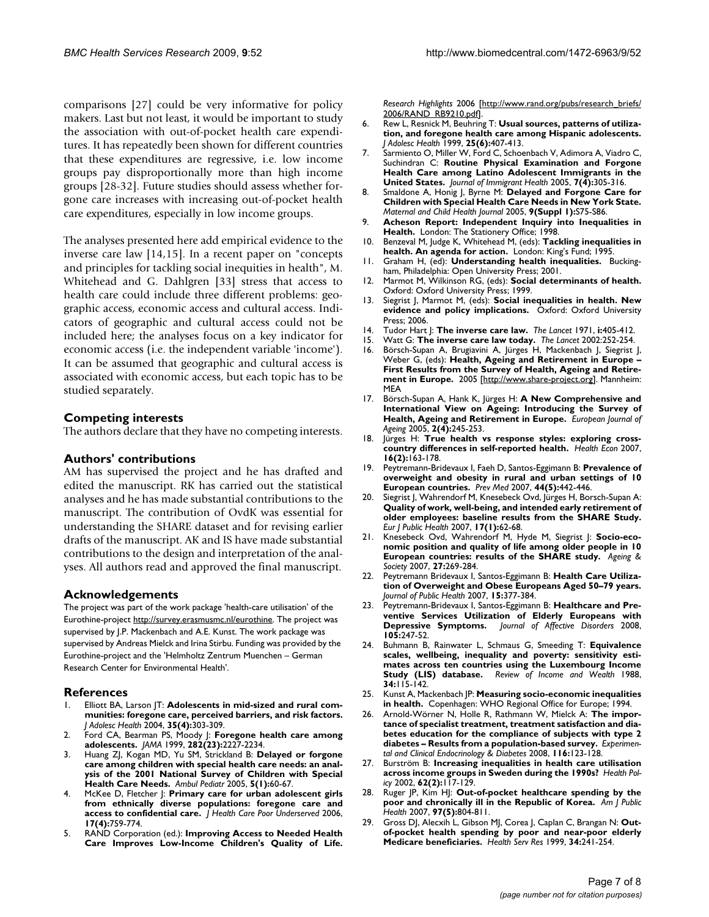comparisons [27] could be very informative for policy makers. Last but not least, it would be important to study the association with out-of-pocket health care expenditures. It has repeatedly been shown for different countries that these expenditures are regressive, i.e. low income groups pay disproportionally more than high income groups [28-32]. Future studies should assess whether forgone care increases with increasing out-of-pocket health care expenditures, especially in low income groups.

The analyses presented here add empirical evidence to the inverse care law [14,15]. In a recent paper on "concepts and principles for tackling social inequities in health", M. Whitehead and G. Dahlgren [33] stress that access to health care could include three different problems: geographic access, economic access and cultural access. Indicators of geographic and cultural access could not be included here; the analyses focus on a key indicator for economic access (i.e. the independent variable 'income'). It can be assumed that geographic and cultural access is associated with economic access, but each topic has to be studied separately.

#### **Competing interests**

The authors declare that they have no competing interests.

#### **Authors' contributions**

AM has supervised the project and he has drafted and edited the manuscript. RK has carried out the statistical analyses and he has made substantial contributions to the manuscript. The contribution of OvdK was essential for understanding the SHARE dataset and for revising earlier drafts of the manuscript. AK and IS have made substantial contributions to the design and interpretation of the analyses. All authors read and approved the final manuscript.

#### **Acknowledgements**

The project was part of the work package 'health-care utilisation' of the Eurothine-project<http://survey.erasmusmc.nl/eurothine>. The project was supervised by J.P. Mackenbach and A.E. Kunst. The work package was supervised by Andreas Mielck and Irina Stirbu. Funding was provided by the Eurothine-project and the 'Helmholtz Zentrum Muenchen – German Research Center for Environmental Health'.

#### **References**

- Elliott BA, Larson |T: [Adolescents in mid-sized and rural com](http://www.ncbi.nlm.nih.gov/entrez/query.fcgi?cmd=Retrieve&db=PubMed&dopt=Abstract&list_uids=15450544)**[munities: foregone care, perceived barriers, and risk factors.](http://www.ncbi.nlm.nih.gov/entrez/query.fcgi?cmd=Retrieve&db=PubMed&dopt=Abstract&list_uids=15450544)** *J Adolesc Health* 2004, **35(4):**303-309.
- 2. Ford CA, Bearman PS, Moody J: **[Foregone health care among](http://www.ncbi.nlm.nih.gov/entrez/query.fcgi?cmd=Retrieve&db=PubMed&dopt=Abstract&list_uids=10605974) [adolescents.](http://www.ncbi.nlm.nih.gov/entrez/query.fcgi?cmd=Retrieve&db=PubMed&dopt=Abstract&list_uids=10605974)** *JAMA* 1999, **282(23):**2227-2234.
- 3. Huang ZJ, Kogan MD, Yu SM, Strickland B: **[Delayed or forgone](http://www.ncbi.nlm.nih.gov/entrez/query.fcgi?cmd=Retrieve&db=PubMed&dopt=Abstract&list_uids=15656708) [care among children with special health care needs: an anal](http://www.ncbi.nlm.nih.gov/entrez/query.fcgi?cmd=Retrieve&db=PubMed&dopt=Abstract&list_uids=15656708)ysis of the 2001 National Survey of Children with Special [Health Care Needs.](http://www.ncbi.nlm.nih.gov/entrez/query.fcgi?cmd=Retrieve&db=PubMed&dopt=Abstract&list_uids=15656708)** *Ambul Pediatr* 2005, **5(1):**60-67.
- 4. McKee D, Fletcher J: **[Primary care for urban adolescent girls](http://www.ncbi.nlm.nih.gov/entrez/query.fcgi?cmd=Retrieve&db=PubMed&dopt=Abstract&list_uids=17242529) [from ethnically diverse populations: foregone care and](http://www.ncbi.nlm.nih.gov/entrez/query.fcgi?cmd=Retrieve&db=PubMed&dopt=Abstract&list_uids=17242529) [access to confidential care.](http://www.ncbi.nlm.nih.gov/entrez/query.fcgi?cmd=Retrieve&db=PubMed&dopt=Abstract&list_uids=17242529)** *J Health Care Poor Underserved* 2006, **17(4):**759-774.
- 5. RAND Corporation (ed.): **Improving Access to Needed Health Care Improves Low-Income Children's Quality of Life.**

*Research Highlights* 2006 [\[http://www.rand.org/pubs/research\\_briefs/](http://www.rand.org/pubs/research_briefs/2006/RAND_RB9210.pdf) [2006/RAND\\_RB9210.pdf\]](http://www.rand.org/pubs/research_briefs/2006/RAND_RB9210.pdf).

- 6. Rew L, Resnick M, Beuhring T: **[Usual sources, patterns of utiliza](http://www.ncbi.nlm.nih.gov/entrez/query.fcgi?cmd=Retrieve&db=PubMed&dopt=Abstract&list_uids=10608580)[tion, and foregone health care among Hispanic adolescents.](http://www.ncbi.nlm.nih.gov/entrez/query.fcgi?cmd=Retrieve&db=PubMed&dopt=Abstract&list_uids=10608580)** *J Adolesc Health* 1999, **25(6):**407-413.
- 7. Sarmiento O, Miller W, Ford C, Schoenbach V, Adimora A, Viadro C, Suchindran C: **Routine Physical Examination and Forgone Health Care among Latino Adolescent Immigrants in the United States.** *Journal of Immigrant Health* 2005, **7(4):**305-316.
- 8. Smaldone A, Honig J, Byrne M: **Delayed and Forgone Care for Children with Special Health Care Needs in New York State.** *Maternal and Child Health Journal* 2005, **9(Suppl 1):**S75-S86.
- 9. **Acheson Report: Independent Inquiry into Inequalities in Health.** London: The Stationery Office; 1998.
- 10. Benzeval M, Judge K, Whitehead M, (eds): **[Tackling inequalities in](http://www.ncbi.nlm.nih.gov/entrez/query.fcgi?cmd=Retrieve&db=PubMed&dopt=Abstract&list_uids=7721590) [health. An agenda for action.](http://www.ncbi.nlm.nih.gov/entrez/query.fcgi?cmd=Retrieve&db=PubMed&dopt=Abstract&list_uids=7721590)** London: King's Fund; 1995.
- 11. Graham H, (ed): **Understanding health inequalities.** Buckingham, Philadelphia: Open University Press; 2001.
- 12. Marmot M, Wilkinson RG, (eds): **Social determinants of health.** Oxford: Oxford University Press; 1999.
- 13. Siegrist J, Marmot M, (eds): **Social inequalities in health. New evidence and policy implications.** Oxford: Oxford University Press; 2006.
- 14. Tudor Hart J: **The inverse care law.** *The Lancet* 1971, **i:**405-412.
- 15. Watt G: **The inverse care law today.** *The Lancet* 2002:252-254.
- 16. Börsch-Supan A, Brugiavini A, Jürges H, Mackenbach J, Siegrist J, Weber G, (eds): **Health, Ageing and Retirement in Europe – First Results from the Survey of Health, Ageing and Retirement in Europe.** 2005 [\[http://www.share-project.org](http://www.share-project.org)]. Mannheim: MEA
- 17. Börsch-Supan A, Hank K, Jürges H: **A New Comprehensive and International View on Ageing: Introducing the Survey of Health, Ageing and Retirement in Europe.** *European Journal of Ageing* 2005, **2(4):**245-253.
- 18. Jürges H: **[True health vs response styles: exploring cross](http://www.ncbi.nlm.nih.gov/entrez/query.fcgi?cmd=Retrieve&db=PubMed&dopt=Abstract&list_uids=16941555)[country differences in self-reported health.](http://www.ncbi.nlm.nih.gov/entrez/query.fcgi?cmd=Retrieve&db=PubMed&dopt=Abstract&list_uids=16941555)** *Health Econ* 2007, **16(2):**163-178.
- 19. Peytremann-Bridevaux I, Faeh D, Santos-Eggimann B: **[Prevalence of](http://www.ncbi.nlm.nih.gov/entrez/query.fcgi?cmd=Retrieve&db=PubMed&dopt=Abstract&list_uids=17258803) [overweight and obesity in rural and urban settings of 10](http://www.ncbi.nlm.nih.gov/entrez/query.fcgi?cmd=Retrieve&db=PubMed&dopt=Abstract&list_uids=17258803) [European countries.](http://www.ncbi.nlm.nih.gov/entrez/query.fcgi?cmd=Retrieve&db=PubMed&dopt=Abstract&list_uids=17258803)** *Prev Med* 2007, **44(5):**442-446.
- 20. Siegrist J, Wahrendorf M, Knesebeck Ovd, Jürges H, Borsch-Supan A: **[Quality of work, well-being, and intended early retirement of](http://www.ncbi.nlm.nih.gov/entrez/query.fcgi?cmd=Retrieve&db=PubMed&dopt=Abstract&list_uids=16777840) older employees: baseline results from the SHARE Study.** *Eur J Public Health* 2007, **17(1):**62-68.
- 21. Knesebeck Ovd, Wahrendorf M, Hyde M, Siegrist J: **Socio-economic position and quality of life among older people in 10 European countries: results of the SHARE study.** *Ageing & Society* 2007, **27:**269-284.
- 22. Peytremann Bridevaux I, Santos-Eggimann B: **Health Care Utilization of Overweight and Obese Europeans Aged 50–79 years.** *Journal of Public Health* 2007, **15:**377-384.
- 23. Peytremann-Bridevaux I, Santos-Eggimann B: **[Healthcare and Pre](http://www.ncbi.nlm.nih.gov/entrez/query.fcgi?cmd=Retrieve&db=PubMed&dopt=Abstract&list_uids=17509695)[ventive Services Utilization of Elderly Europeans with](http://www.ncbi.nlm.nih.gov/entrez/query.fcgi?cmd=Retrieve&db=PubMed&dopt=Abstract&list_uids=17509695) [Depressive Symptoms.](http://www.ncbi.nlm.nih.gov/entrez/query.fcgi?cmd=Retrieve&db=PubMed&dopt=Abstract&list_uids=17509695)** *Journal of Affective Disorders* 2008, **105:**247-52.
- 24. Buhmann B, Rainwater L, Schmaus G, Smeeding T: **Equivalence scales, wellbeing, inequality and poverty: sensitivity estimates across ten countries using the Luxembourg Income Study (LIS) database.** *Review of Income and Wealth* 1988, **34:**115-142.
- 25. Kunst A, Mackenbach JP: **Measuring socio-economic inequalities in health.** Copenhagen: WHO Regional Office for Europe; 1994.
- 26. Arnold-Wörner N, Holle R, Rathmann W, Mielck A: **The importance of specialist treatment, treatment satisfaction and diabetes education for the compliance of subjects with type 2 diabetes – Results from a population-based survey.** *Experimental and Clinical Endocrinology & Diabetes* 2008, **116:**123-128.
- 27. Burström B: **[Increasing inequalities in health care utilisation](http://www.ncbi.nlm.nih.gov/entrez/query.fcgi?cmd=Retrieve&db=PubMed&dopt=Abstract&list_uids=12354407) [across income groups in Sweden during the 1990s?](http://www.ncbi.nlm.nih.gov/entrez/query.fcgi?cmd=Retrieve&db=PubMed&dopt=Abstract&list_uids=12354407)** *Health Policy* 2002, **62(2):**117-129.
- 28. Ruger JP, Kim HJ: **[Out-of-pocket healthcare spending by the](http://www.ncbi.nlm.nih.gov/entrez/query.fcgi?cmd=Retrieve&db=PubMed&dopt=Abstract&list_uids=17395834) [poor and chronically ill in the Republic of Korea.](http://www.ncbi.nlm.nih.gov/entrez/query.fcgi?cmd=Retrieve&db=PubMed&dopt=Abstract&list_uids=17395834)** *Am J Public Health* 2007, **97(5):**804-811.
- Gross DJ, Alecxih L, Gibson MJ, Corea J, Caplan C, Brangan N: [Out](http://www.ncbi.nlm.nih.gov/entrez/query.fcgi?cmd=Retrieve&db=PubMed&dopt=Abstract&list_uids=10199672)**[of-pocket health spending by poor and near-poor elderly](http://www.ncbi.nlm.nih.gov/entrez/query.fcgi?cmd=Retrieve&db=PubMed&dopt=Abstract&list_uids=10199672) [Medicare beneficiaries.](http://www.ncbi.nlm.nih.gov/entrez/query.fcgi?cmd=Retrieve&db=PubMed&dopt=Abstract&list_uids=10199672)** *Health Serv Res* 1999, **34:**241-254.